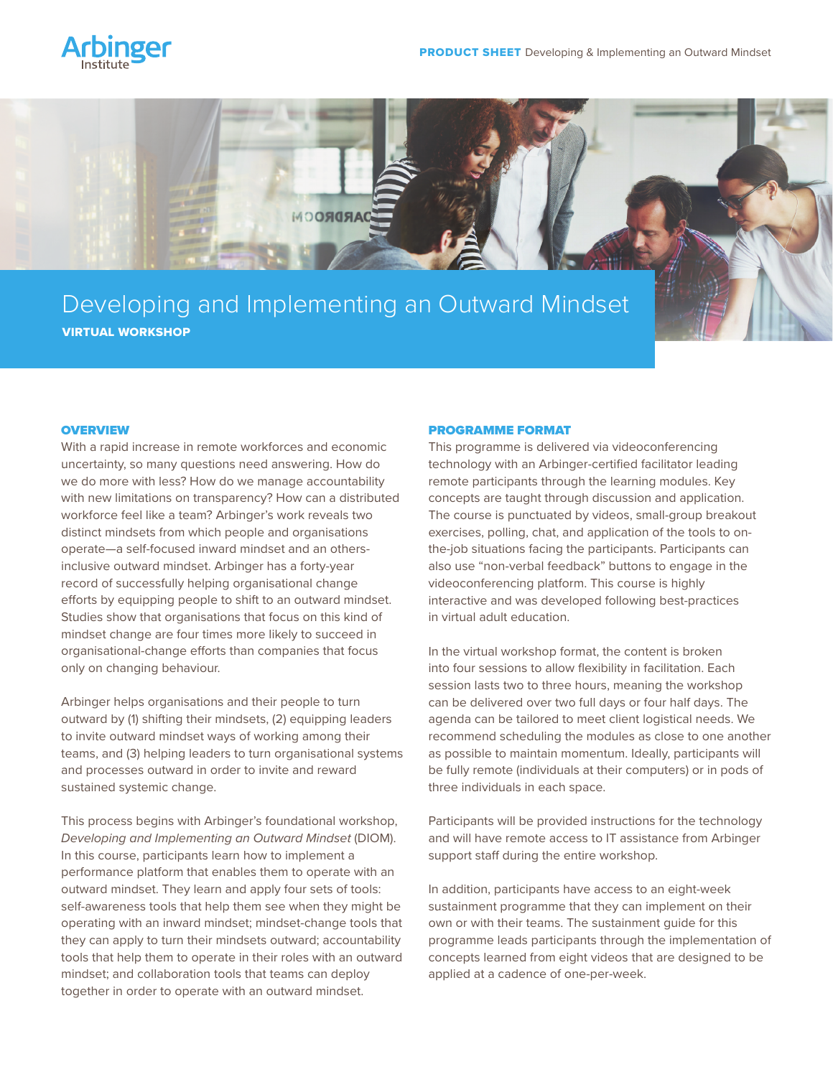



# Developing and Implementing an Outward Mindset VIRTUAL WORKSHOP

### **OVERVIEW**

With a rapid increase in remote workforces and economic uncertainty, so many questions need answering. How do we do more with less? How do we manage accountability with new limitations on transparency? How can a distributed workforce feel like a team? Arbinger's work reveals two distinct mindsets from which people and organisations operate—a self-focused inward mindset and an othersinclusive outward mindset. Arbinger has a forty-year record of successfully helping organisational change efforts by equipping people to shift to an outward mindset. Studies show that organisations that focus on this kind of mindset change are four times more likely to succeed in organisational-change efforts than companies that focus only on changing behaviour.

Arbinger helps organisations and their people to turn outward by (1) shifting their mindsets, (2) equipping leaders to invite outward mindset ways of working among their teams, and (3) helping leaders to turn organisational systems and processes outward in order to invite and reward sustained systemic change.

This process begins with Arbinger's foundational workshop, *Developing and Implementing an Outward Mindset* (DIOM). In this course, participants learn how to implement a performance platform that enables them to operate with an outward mindset. They learn and apply four sets of tools: self-awareness tools that help them see when they might be operating with an inward mindset; mindset-change tools that they can apply to turn their mindsets outward; accountability tools that help them to operate in their roles with an outward mindset; and collaboration tools that teams can deploy together in order to operate with an outward mindset.

#### PROGRAMME FORMAT

This programme is delivered via videoconferencing technology with an Arbinger-certified facilitator leading remote participants through the learning modules. Key concepts are taught through discussion and application. The course is punctuated by videos, small-group breakout exercises, polling, chat, and application of the tools to onthe-job situations facing the participants. Participants can also use "non-verbal feedback" buttons to engage in the videoconferencing platform. This course is highly interactive and was developed following best-practices in virtual adult education.

In the virtual workshop format, the content is broken into four sessions to allow flexibility in facilitation. Each session lasts two to three hours, meaning the workshop can be delivered over two full days or four half days. The agenda can be tailored to meet client logistical needs. We recommend scheduling the modules as close to one another as possible to maintain momentum. Ideally, participants will be fully remote (individuals at their computers) or in pods of three individuals in each space.

Participants will be provided instructions for the technology and will have remote access to IT assistance from Arbinger support staff during the entire workshop.

In addition, participants have access to an eight-week sustainment programme that they can implement on their own or with their teams. The sustainment guide for this programme leads participants through the implementation of concepts learned from eight videos that are designed to be applied at a cadence of one-per-week.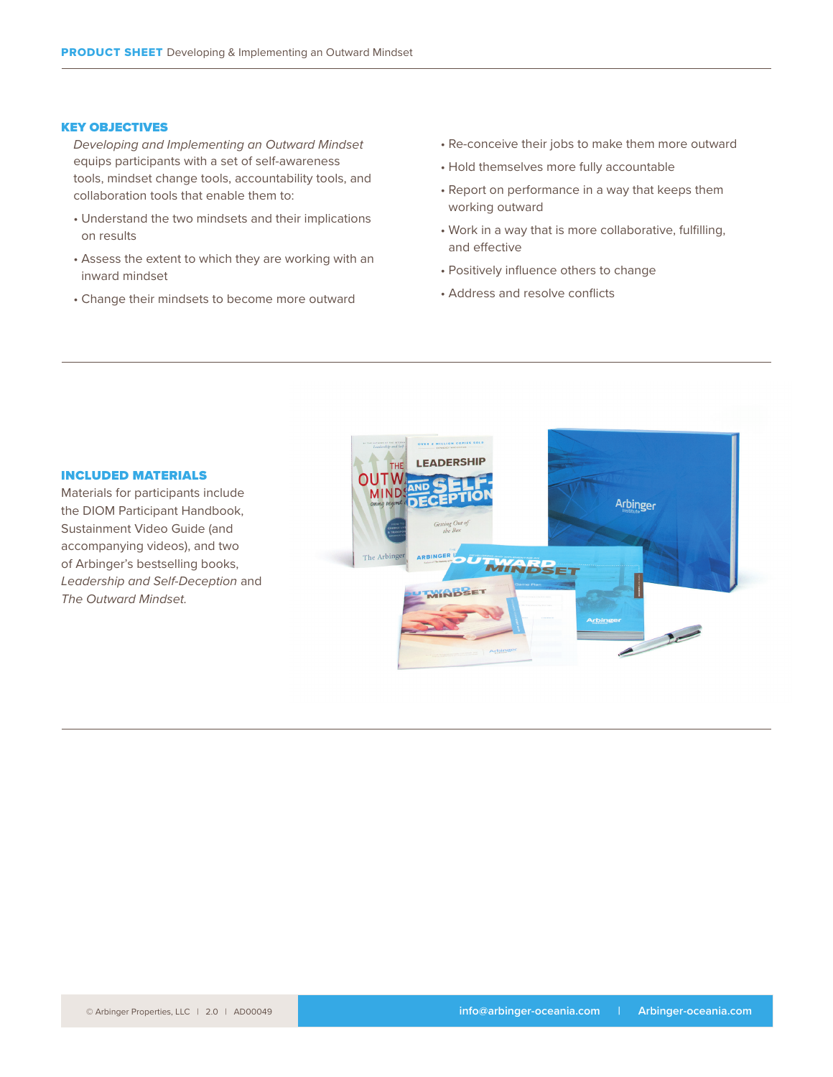### KEY OBJECTIVES

*Developing and Implementing an Outward Mindset* equips participants with a set of self-awareness tools, mindset change tools, accountability tools, and collaboration tools that enable them to:

- Understand the two mindsets and their implications on results
- Assess the extent to which they are working with an inward mindset
- Change their mindsets to become more outward
- Re-conceive their jobs to make them more outward
- Hold themselves more fully accountable
- Report on performance in a way that keeps them working outward
- Work in a way that is more collaborative, fulfilling, and effective
- Positively influence others to change
- Address and resolve conflicts



Materials for participants include the DIOM Participant Handbook, Sustainment Video Guide (and accompanying videos), and two of Arbinger's bestselling books, *Leadership and Self-Deception* and *The Outward Mindset.*